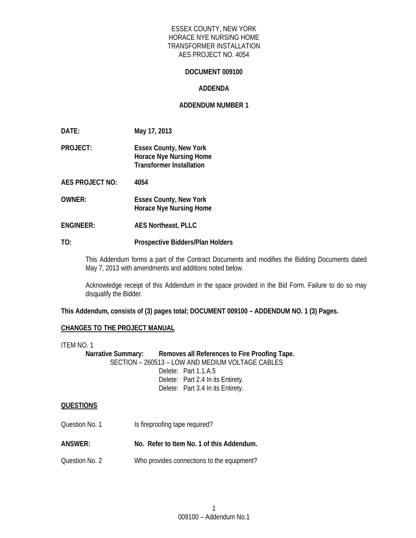## ESSEX COUNTY, NEW YORK HORACE NYE NURSING HOME TRANSFORMER INSTALLATION AES PROJECT NO. 4054

#### **DOCUMENT 009100**

#### **ADDENDA**

#### **ADDENDUM NUMBER 1**

**DATE: May 17, 2013** 

**PROJECT: Essex County, New York Horace Nye Nursing Home Transformer Installation** 

**AES PROJECT NO: 4054** 

**OWNER: Essex County, New York Horace Nye Nursing Home** 

**ENGINEER: AES Northeast, PLLC** 

#### **TO: Prospective Bidders/Plan Holders**

This Addendum forms a part of the Contract Documents and modifies the Bidding Documents dated May 7, 2013 with amendments and additions noted below.

Acknowledge receipt of this Addendum in the space provided in the Bid Form. Failure to do so may disqualify the Bidder.

**This Addendum, consists of (3) pages total; DOCUMENT 009100 – ADDENDUM NO. 1 (3) Pages.** 

## **CHANGES TO THE PROJECT MANUAL**

ITEM NO. 1 Narrative Summary: Removes all References to Fire Proofing Tape. SECTION – 260513 – LOW AND MEDIUM VOLTAGE CABLES Delete: Part 1.1.A.5 Delete: Part 2.4 In its Entirety. Delete: Part 3.4 In its Entirety.

## **QUESTIONS**

- Question No. 1 **Is fireproofing tape required?**
- **ANSWER: No. Refer to Item No. 1 of this Addendum.**
- Question No. 2 Who provides connections to the equipment?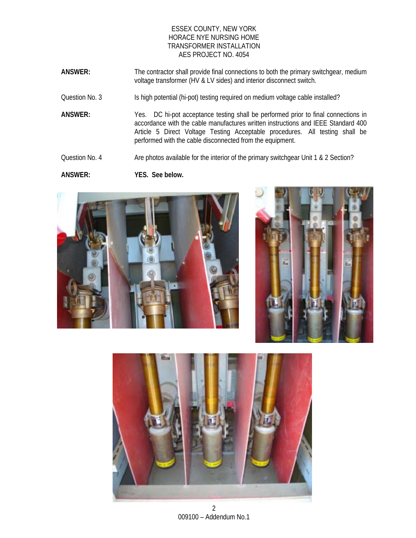## ESSEX COUNTY, NEW YORK HORACE NYE NURSING HOME TRANSFORMER INSTALLATION AES PROJECT NO. 4054

- **ANSWER:** The contractor shall provide final connections to both the primary switchgear, medium voltage transformer (HV & LV sides) and interior disconnect switch.
- Question No. 3 Is high potential (hi-pot) testing required on medium voltage cable installed?
- **ANSWER:** Yes. DC hi-pot acceptance testing shall be performed prior to final connections in accordance with the cable manufactures written instructions and IEEE Standard 400 Article 5 Direct Voltage Testing Acceptable procedures. All testing shall be performed with the cable disconnected from the equipment.
- Question No. 4 Are photos available for the interior of the primary switchgear Unit 1 & 2 Section?

**ANSWER: YES. See below.**